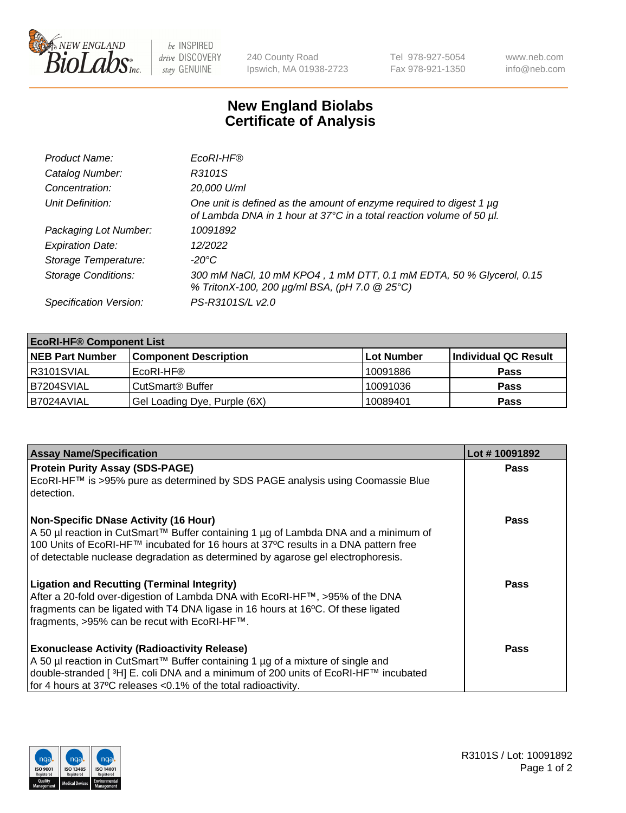

 $be$  INSPIRED drive DISCOVERY stay GENUINE

240 County Road Ipswich, MA 01938-2723 Tel 978-927-5054 Fax 978-921-1350 www.neb.com info@neb.com

## **New England Biolabs Certificate of Analysis**

| Product Name:              | EcoRI-HF®                                                                                                                                   |
|----------------------------|---------------------------------------------------------------------------------------------------------------------------------------------|
| Catalog Number:            | R3101S                                                                                                                                      |
| Concentration:             | 20,000 U/ml                                                                                                                                 |
| Unit Definition:           | One unit is defined as the amount of enzyme required to digest 1 µg<br>of Lambda DNA in 1 hour at 37°C in a total reaction volume of 50 µl. |
| Packaging Lot Number:      | 10091892                                                                                                                                    |
| <b>Expiration Date:</b>    | 12/2022                                                                                                                                     |
| Storage Temperature:       | -20°C                                                                                                                                       |
| <b>Storage Conditions:</b> | 300 mM NaCl, 10 mM KPO4, 1 mM DTT, 0.1 mM EDTA, 50 % Glycerol, 0.15<br>% TritonX-100, 200 µg/ml BSA, (pH 7.0 @ 25°C)                        |
| Specification Version:     | PS-R3101S/L v2.0                                                                                                                            |

| <b>EcoRI-HF® Component List</b> |                              |            |                      |  |
|---------------------------------|------------------------------|------------|----------------------|--|
| <b>NEB Part Number</b>          | <b>Component Description</b> | Lot Number | Individual QC Result |  |
| R3101SVIAL                      | EcoRI-HF®                    | 10091886   | <b>Pass</b>          |  |
| B7204SVIAL                      | CutSmart® Buffer             | 10091036   | <b>Pass</b>          |  |
| I B7024AVIAL                    | Gel Loading Dye, Purple (6X) | 10089401   | <b>Pass</b>          |  |

| <b>Assay Name/Specification</b>                                                                                                                                                                                                                                                                                  | Lot #10091892 |
|------------------------------------------------------------------------------------------------------------------------------------------------------------------------------------------------------------------------------------------------------------------------------------------------------------------|---------------|
| <b>Protein Purity Assay (SDS-PAGE)</b><br>EcoRI-HF™ is >95% pure as determined by SDS PAGE analysis using Coomassie Blue<br>detection.                                                                                                                                                                           | <b>Pass</b>   |
| <b>Non-Specific DNase Activity (16 Hour)</b><br>  A 50 µl reaction in CutSmart™ Buffer containing 1 µg of Lambda DNA and a minimum of<br>100 Units of EcoRI-HF™ incubated for 16 hours at 37°C results in a DNA pattern free<br>of detectable nuclease degradation as determined by agarose gel electrophoresis. | <b>Pass</b>   |
| <b>Ligation and Recutting (Terminal Integrity)</b><br>After a 20-fold over-digestion of Lambda DNA with EcoRI-HF™, >95% of the DNA<br>fragments can be ligated with T4 DNA ligase in 16 hours at 16°C. Of these ligated<br>fragments, >95% can be recut with EcoRI-HF™.                                          | Pass          |
| <b>Exonuclease Activity (Radioactivity Release)</b><br>  A 50 µl reaction in CutSmart™ Buffer containing 1 µg of a mixture of single and<br>double-stranded [3H] E. coli DNA and a minimum of 200 units of EcoRI-HF™ incubated<br>for 4 hours at 37°C releases <0.1% of the total radioactivity.                 | Pass          |